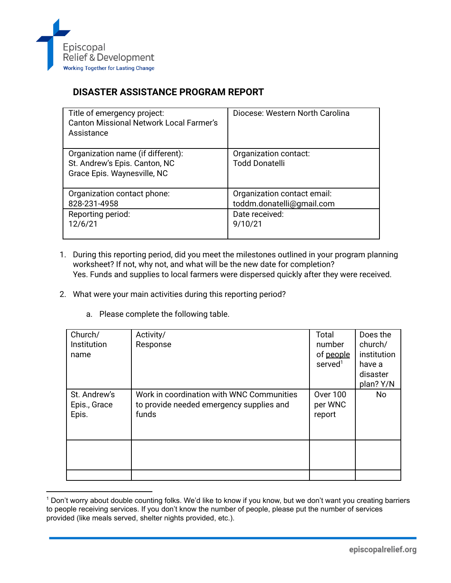

## **DISASTER ASSISTANCE PROGRAM REPORT**

| Title of emergency project:<br><b>Canton Missional Network Local Farmer's</b><br>Assistance       | Diocese: Western North Carolina                |
|---------------------------------------------------------------------------------------------------|------------------------------------------------|
| Organization name (if different):<br>St. Andrew's Epis. Canton, NC<br>Grace Epis. Waynesville, NC | Organization contact:<br><b>Todd Donatelli</b> |
| Organization contact phone:                                                                       | Organization contact email:                    |
| 828-231-4958                                                                                      | toddm.donatelli@gmail.com                      |
| Reporting period:                                                                                 | Date received:                                 |
| 12/6/21                                                                                           | 9/10/21                                        |

- 1. During this reporting period, did you meet the milestones outlined in your program planning worksheet? If not, why not, and what will be the new date for completion? Yes. Funds and supplies to local farmers were dispersed quickly after they were received.
- 2. What were your main activities during this reporting period?
	- a. Please complete the following table.

| Church/<br>Institution<br>name        | Activity/<br>Response                                                                          | Total<br>number<br>of people<br>served <sup>1</sup> | Does the<br>church/<br>institution<br>have a<br>disaster<br>plan? Y/N |
|---------------------------------------|------------------------------------------------------------------------------------------------|-----------------------------------------------------|-----------------------------------------------------------------------|
| St. Andrew's<br>Epis., Grace<br>Epis. | Work in coordination with WNC Communities<br>to provide needed emergency supplies and<br>funds | <b>Over 100</b><br>per WNC<br>report                | <b>No</b>                                                             |
|                                       |                                                                                                |                                                     |                                                                       |

<sup>&</sup>lt;sup>1</sup> Don't worry about double counting folks. We'd like to know if you know, but we don't want you creating barriers to people receiving services. If you don't know the number of people, please put the number of services provided (like meals served, shelter nights provided, etc.).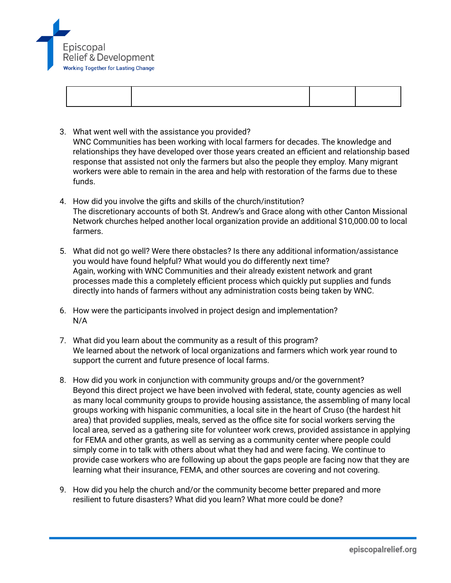

- 3. What went well with the assistance you provided? WNC Communities has been working with local farmers for decades. The knowledge and relationships they have developed over those years created an efficient and relationship based response that assisted not only the farmers but also the people they employ. Many migrant workers were able to remain in the area and help with restoration of the farms due to these funds.
- 4. How did you involve the gifts and skills of the church/institution? The discretionary accounts of both St. Andrew's and Grace along with other Canton Missional Network churches helped another local organization provide an additional \$10,000.00 to local farmers.
- 5. What did not go well? Were there obstacles? Is there any additional information/assistance you would have found helpful? What would you do differently next time? Again, working with WNC Communities and their already existent network and grant processes made this a completely efficient process which quickly put supplies and funds directly into hands of farmers without any administration costs being taken by WNC.
- 6. How were the participants involved in project design and implementation? N/A
- 7. What did you learn about the community as a result of this program? We learned about the network of local organizations and farmers which work year round to support the current and future presence of local farms.
- 8. How did you work in conjunction with community groups and/or the government? Beyond this direct project we have been involved with federal, state, county agencies as well as many local community groups to provide housing assistance, the assembling of many local groups working with hispanic communities, a local site in the heart of Cruso (the hardest hit area) that provided supplies, meals, served as the office site for social workers serving the local area, served as a gathering site for volunteer work crews, provided assistance in applying for FEMA and other grants, as well as serving as a community center where people could simply come in to talk with others about what they had and were facing. We continue to provide case workers who are following up about the gaps people are facing now that they are learning what their insurance, FEMA, and other sources are covering and not covering.
- 9. How did you help the church and/or the community become better prepared and more resilient to future disasters? What did you learn? What more could be done?